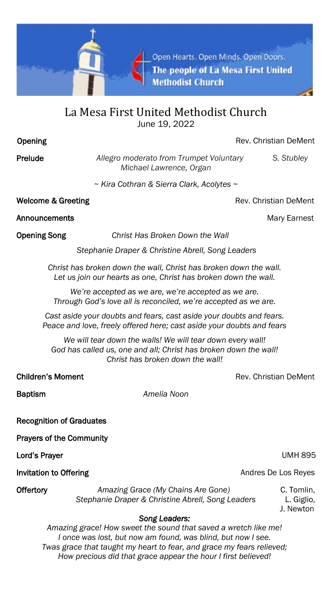

## La Mesa First United Methodist Church June 19, 2022

**Opening Community Community Community Community Community Community Community Community Community Community Community Community Community Community Community Community Community Community Community Community Community Com** 

Prelude *Allegro moderato from Trumpet Voluntary S. Stubley Michael Lawrence, Organ*

*~ Kira Cothran & Sierra Clark, Acolytes ~*

Welcome & Greeting **Rev. Christian DeMent** 

Announcements **Mary Earnest** Mary Earnest **Mary Earnest** 

Opening Song *Christ Has Broken Down the Wall* 

 *Stephanie Draper & Christine Abrell, Song Leaders* 

*Christ has broken down the wall, Christ has broken down the wall. Let us join our hearts as one, Christ has broken down the wall.*

*We're accepted as we are, we're accepted as we are. Through God's love all is reconciled, we're accepted as we are.*

*Cast aside your doubts and fears, cast aside your doubts and fears. Peace and love, freely offered here; cast aside your doubts and fears*

*We will tear down the walls! We will tear down every wall! God has called us, one and all; Christ has broken down the wall! Christ has broken down the wall!*

**Children's Moment** Children's Moment Children's Moment Children's Rev. Christian DeMent

Baptism *Amelia Noon*

Recognition of Graduates

Prayers of the Community

Lord's Prayer UMH 895

Invitation to Offering **Andres De Los Reyes** Andres De Los Reyes

Offertory *Amazing Grace (My Chains Are Gone)* C. Tomlin,  *Stephanie Draper & Christine Abrell, Song Leaders* L. Giglio,

J. Newton

## *Song Leaders:*

*Amazing grace! How sweet the sound that saved a wretch like me! I once was lost, but now am found, was blind, but now I see. Twas grace that taught my heart to fear, and grace my fears relieved; How precious did that grace appear the hour I first believed!*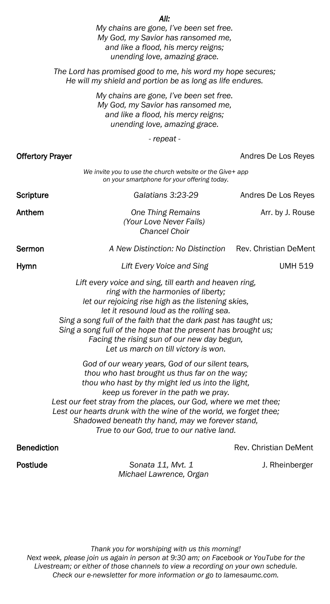|                                                                                                                                                                                                                                                                                                                                                                                                                                          | All:<br>My chains are gone, I've been set free.<br>My God, my Savior has ransomed me,<br>and like a flood, his mercy reigns;<br>unending love, amazing grace. |                              |
|------------------------------------------------------------------------------------------------------------------------------------------------------------------------------------------------------------------------------------------------------------------------------------------------------------------------------------------------------------------------------------------------------------------------------------------|---------------------------------------------------------------------------------------------------------------------------------------------------------------|------------------------------|
|                                                                                                                                                                                                                                                                                                                                                                                                                                          | The Lord has promised good to me, his word my hope secures;<br>He will my shield and portion be as long as life endures.                                      |                              |
|                                                                                                                                                                                                                                                                                                                                                                                                                                          | My chains are gone, I've been set free.<br>My God, my Savior has ransomed me,<br>and like a flood, his mercy reigns;<br>unending love, amazing grace.         |                              |
|                                                                                                                                                                                                                                                                                                                                                                                                                                          | - repeat -                                                                                                                                                    |                              |
| Offertory Prayer                                                                                                                                                                                                                                                                                                                                                                                                                         |                                                                                                                                                               | Andres De Los Reyes          |
|                                                                                                                                                                                                                                                                                                                                                                                                                                          | We invite you to use the church website or the Give+ app<br>on your smartphone for your offering today.                                                       |                              |
| Scripture                                                                                                                                                                                                                                                                                                                                                                                                                                | Galatians 3:23-29                                                                                                                                             | Andres De Los Reyes          |
| Anthem                                                                                                                                                                                                                                                                                                                                                                                                                                   | <b>One Thing Remains</b><br>(Your Love Never Fails)<br><b>Chancel Choir</b>                                                                                   | Arr. by J. Rouse             |
| Sermon                                                                                                                                                                                                                                                                                                                                                                                                                                   | A New Distinction: No Distinction                                                                                                                             | Rev. Christian DeMent        |
| Hymn                                                                                                                                                                                                                                                                                                                                                                                                                                     | Lift Every Voice and Sing                                                                                                                                     | <b>UMH 519</b>               |
| Lift every voice and sing, till earth and heaven ring,<br>ring with the harmonies of liberty;<br>let our rejoicing rise high as the listening skies,<br>let it resound loud as the rolling sea.<br>Sing a song full of the faith that the dark past has taught us;<br>Sing a song full of the hope that the present has brought us;<br>Facing the rising sun of our new day begun,<br>Let us march on till victory is won.               |                                                                                                                                                               |                              |
| God of our weary years, God of our silent tears,<br>thou who hast brought us thus far on the way;<br>thou who hast by thy might led us into the light,<br>keep us forever in the path we pray.<br>Lest our feet stray from the places, our God, where we met thee;<br>Lest our hearts drunk with the wine of the world, we forget thee;<br>Shadowed beneath thy hand, may we forever stand,<br>True to our God, true to our native land. |                                                                                                                                                               |                              |
| <b>Benediction</b>                                                                                                                                                                                                                                                                                                                                                                                                                       |                                                                                                                                                               | <b>Rev. Christian DeMent</b> |

Postlude *Sonata 11, Mvt. 1* J. Rheinberger  *Michael Lawrence, Organ* 

*Thank you for worshiping with us this morning! Next week, please join us again in person at 9:30 am; on Facebook or YouTube for the Livestream; or either of those channels to view a recording on your own schedule. Check our e-newsletter for more information or go to lamesaumc.com.*